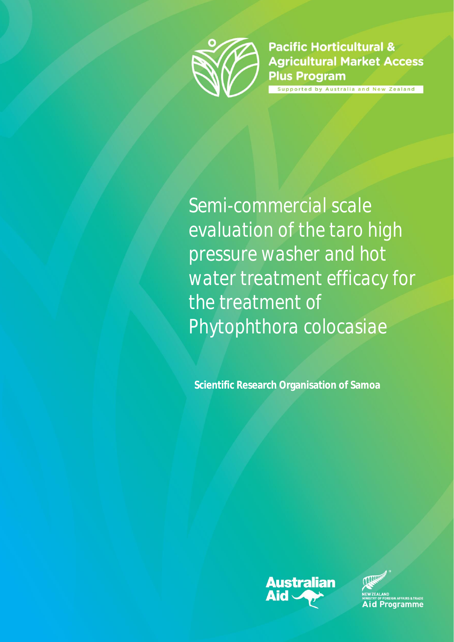

**Pacific Horticultural & Agricultural Market Access Plus Program** upported by Australia and New Zealand

*Semi-commercial scale evaluation of the taro high pressure washer and hot water treatment efficacy for the treatment of Phytophthora colocasiae*

**Scientific Research Organisation of Samoa**



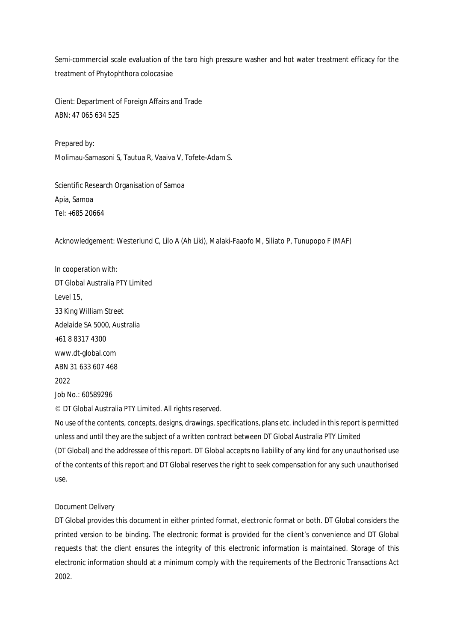Semi-commercial scale evaluation of the taro high pressure washer and hot water treatment efficacy for the treatment of Phytophthora colocasiae

Client: Department of Foreign Affairs and Trade ABN: 47 065 634 525

Prepared by: Molimau-Samasoni S, Tautua R, Vaaiva V, Tofete-Adam S.

Scientific Research Organisation of Samoa Apia, Samoa Tel: +685 20664

Acknowledgement: Westerlund C, Lilo A (Ah Liki), Malaki-Faaofo M, Siliato P, Tunupopo F (MAF)

In cooperation with: DT Global Australia PTY Limited Level 15, 33 King William Street Adelaide SA 5000, Australia +61 8 8317 4300 www.dt-global.com ABN 31 633 607 468 2022 Job No.: 60589296

© DT Global Australia PTY Limited. All rights reserved.

No use of the contents, concepts, designs, drawings, specifications, plans etc. included in this report is permitted unless and until they are the subject of a written contract between DT Global Australia PTY Limited (DT Global) and the addressee of this report. DT Global accepts no liability of any kind for any unauthorised use of the contents of this report and DT Global reserves the right to seek compensation for any such unauthorised use.

#### Document Delivery

DT Global provides this document in either printed format, electronic format or both. DT Global considers the printed version to be binding. The electronic format is provided for the client's convenience and DT Global requests that the client ensures the integrity of this electronic information is maintained. Storage of this electronic information should at a minimum comply with the requirements of the Electronic Transactions Act 2002.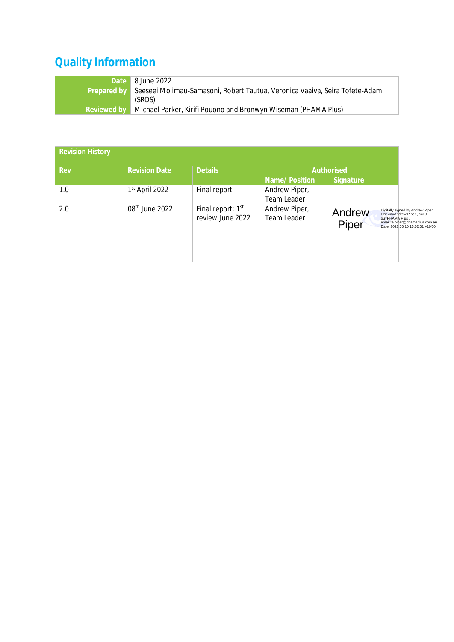# **Quality Information**

| Date 8 June 2022                                                                        |
|-----------------------------------------------------------------------------------------|
| Prepared by Seeseei Molimau-Samasoni, Robert Tautua, Veronica Vaaiva, Seira Tofete-Adam |
| (SROS)                                                                                  |
| Reviewed by Michael Parker, Kirifi Pouono and Bronwyn Wiseman (PHAMA Plus)              |

| <b>Revision History</b> |                            |                                       |                              |                                   |                                                                                                                                       |
|-------------------------|----------------------------|---------------------------------------|------------------------------|-----------------------------------|---------------------------------------------------------------------------------------------------------------------------------------|
| Rev                     | <b>Revision Date</b>       | <b>Details</b>                        |                              | Authorised                        |                                                                                                                                       |
|                         |                            |                                       | Name/Position                | Signature                         |                                                                                                                                       |
| 1.0                     | $1st$ April 2022           | Final report                          | Andrew Piper,                |                                   |                                                                                                                                       |
|                         |                            |                                       | Team Leader                  |                                   |                                                                                                                                       |
| 2.0                     | 08 <sup>th</sup> June 2022 | Final report: 1st<br>review June 2022 | Andrew Piper,<br>Team Leader | Andrew<br>ou=PHAMA Plus,<br>Piper | Digitally signed by Andrew Piper<br>DN: cn=Andrew Piper, c=FJ,<br>email=a.piper@phamaplus.com.au<br>Date: 2022.06.10 15:02:01 +10'00' |
|                         |                            |                                       |                              |                                   |                                                                                                                                       |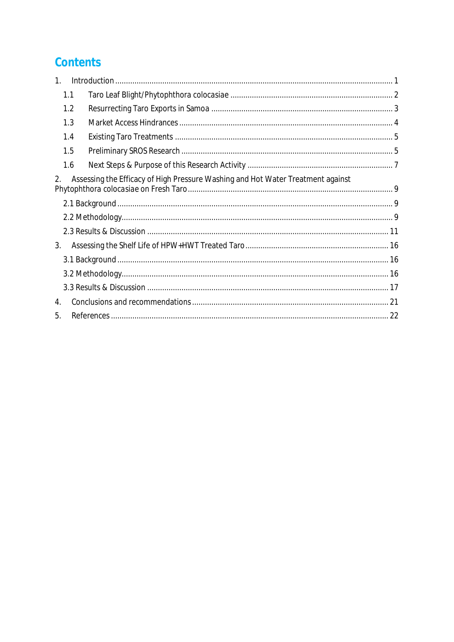# Contents

| 1.               |                                                                                 |  |
|------------------|---------------------------------------------------------------------------------|--|
| 1.1              |                                                                                 |  |
| 1.2              |                                                                                 |  |
| 1.3              |                                                                                 |  |
| 1.4              |                                                                                 |  |
| 1.5              |                                                                                 |  |
| 1.6              |                                                                                 |  |
| 2.               | Assessing the Efficacy of High Pressure Washing and Hot Water Treatment against |  |
|                  |                                                                                 |  |
|                  |                                                                                 |  |
|                  |                                                                                 |  |
| 3.               |                                                                                 |  |
|                  |                                                                                 |  |
|                  |                                                                                 |  |
|                  |                                                                                 |  |
| $\mathbf{4}_{1}$ |                                                                                 |  |
| 5.               |                                                                                 |  |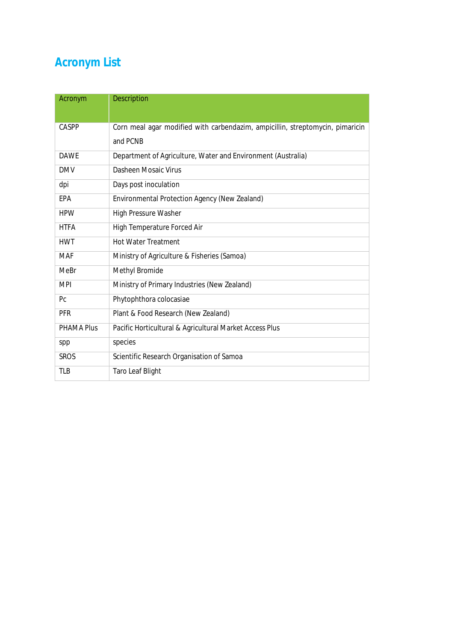# **Acronym List**

| Acronym           | <b>Description</b>                                                            |
|-------------------|-------------------------------------------------------------------------------|
|                   |                                                                               |
| CASPP             | Corn meal agar modified with carbendazim, ampicillin, streptomycin, pimaricin |
|                   | and PCNB                                                                      |
| <b>DAWE</b>       | Department of Agriculture, Water and Environment (Australia)                  |
| <b>DMV</b>        | Dasheen Mosaic Virus                                                          |
| dpi               | Days post inoculation                                                         |
| EPA               | Environmental Protection Agency (New Zealand)                                 |
| <b>HPW</b>        | High Pressure Washer                                                          |
| <b>HTFA</b>       | <b>High Temperature Forced Air</b>                                            |
| <b>HWT</b>        | <b>Hot Water Treatment</b>                                                    |
| <b>MAF</b>        | Ministry of Agriculture & Fisheries (Samoa)                                   |
| <b>MeBr</b>       | Methyl Bromide                                                                |
| <b>MPI</b>        | Ministry of Primary Industries (New Zealand)                                  |
| P <sub>C</sub>    | Phytophthora colocasiae                                                       |
| <b>PFR</b>        | Plant & Food Research (New Zealand)                                           |
| <b>PHAMA Plus</b> | Pacific Horticultural & Agricultural Market Access Plus                       |
| spp               | species                                                                       |
| <b>SROS</b>       | Scientific Research Organisation of Samoa                                     |
| <b>TLB</b>        | <b>Taro Leaf Blight</b>                                                       |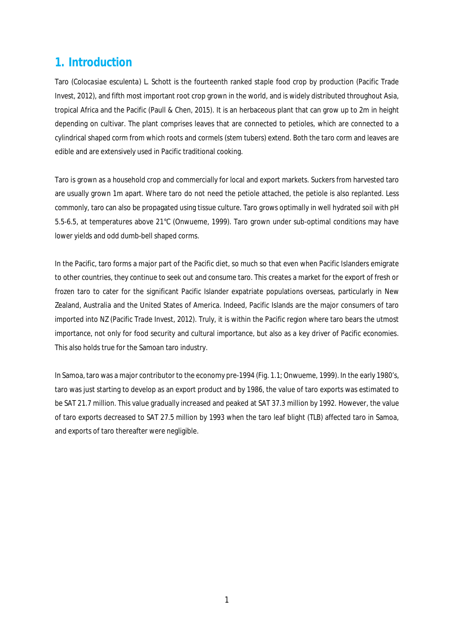### **1. Introduction**

Taro (*Colocasiae esculenta*) L. Schott is the fourteenth ranked staple food crop by production (Pacific Trade Invest, 2012), and fifth most important root crop grown in the world, and is widely distributed throughout Asia, tropical Africa and the Pacific (Paull & Chen, 2015). It is an herbaceous plant that can grow up to 2m in height depending on cultivar. The plant comprises leaves that are connected to petioles, which are connected to a cylindrical shaped corm from which roots and cormels (stem tubers) extend. Both the taro corm and leaves are edible and are extensively used in Pacific traditional cooking.

Taro is grown as a household crop and commercially for local and export markets. Suckers from harvested taro are usually grown 1m apart. Where taro do not need the petiole attached, the petiole is also replanted. Less commonly, taro can also be propagated using tissue culture. Taro grows optimally in well hydrated soil with pH 5.5-6.5, at temperatures above 21°C (Onwueme, 1999). Taro grown under sub-optimal conditions may have lower yields and odd dumb-bell shaped corms.

In the Pacific, taro forms a major part of the Pacific diet, so much so that even when Pacific Islanders emigrate to other countries, they continue to seek out and consume taro. This creates a market for the export of fresh or frozen taro to cater for the significant Pacific Islander expatriate populations overseas, particularly in New Zealand, Australia and the United States of America. Indeed, Pacific Islands are the major consumers of taro imported into NZ (Pacific Trade Invest, 2012). Truly, it is within the Pacific region where taro bears the utmost importance, not only for food security and cultural importance, but also as a key driver of Pacific economies. This also holds true for the Samoan taro industry.

In Samoa, taro was a major contributor to the economy pre-1994 (Fig. 1.1; Onwueme, 1999). In the early 1980's, taro was just starting to develop as an export product and by 1986, the value of taro exports was estimated to be SAT 21.7 million. This value gradually increased and peaked at SAT 37.3 million by 1992. However, the value of taro exports decreased to SAT 27.5 million by 1993 when the taro leaf blight (TLB) affected taro in Samoa, and exports of taro thereafter were negligible.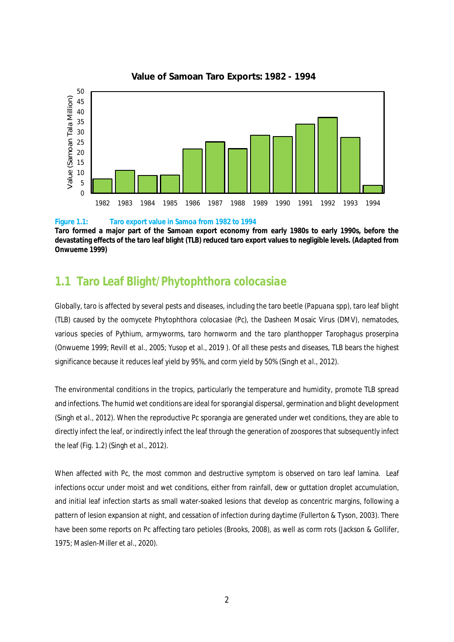

### **Value of Samoan Taro Exports: 1982 - 1994**

#### **Figure 1.1: Taro export value in Samoa from 1982 to 1994**

**Taro formed a major part of the Samoan export economy from early 1980s to early 1990s, before the devastating effects of the taro leaf blight (TLB) reduced taro export values to negligible levels. (Adapted from Onwueme 1999)**

## **1.1 Taro Leaf Blight/***Phytophthora colocasiae*

Globally, taro is affected by several pests and diseases, including the taro beetle (*Papuana* spp), taro leaf blight (TLB) caused by the oomycete *Phytophthora colocasiae* (Pc), the Dasheen Mosaic Virus (DMV), nematodes, various species of *Pythium*, armyworms, taro hornworm and the taro planthopper *Tarophagus proserpina* (Onwueme 1999; Revill *et al.*, 2005; Yusop *et al*., 2019 ). Of all these pests and diseases, TLB bears the highest significance because it reduces leaf yield by 95%, and corm yield by 50% (Singh *et al.,* 2012).

The environmental conditions in the tropics, particularly the temperature and humidity, promote TLB spread and infections. The humid wet conditions are ideal for sporangial dispersal, germination and blight development (Singh *et al.*, 2012). When the reproductive Pc sporangia are generated under wet conditions, they are able to directly infect the leaf, or indirectly infect the leaf through the generation of zoospores that subsequently infect the leaf (Fig. 1.2) (Singh *et al.*, 2012).

When affected with Pc, the most common and destructive symptom is observed on taro leaf lamina. Leaf infections occur under moist and wet conditions, either from rainfall, dew or guttation droplet accumulation, and initial leaf infection starts as small water-soaked lesions that develop as concentric margins, following a pattern of lesion expansion at night, and cessation of infection during daytime (Fullerton & Tyson, 2003). There have been some reports on Pc affecting taro petioles (Brooks, 2008), as well as corm rots (Jackson & Gollifer, 1975; Maslen-Miller *et al.,* 2020).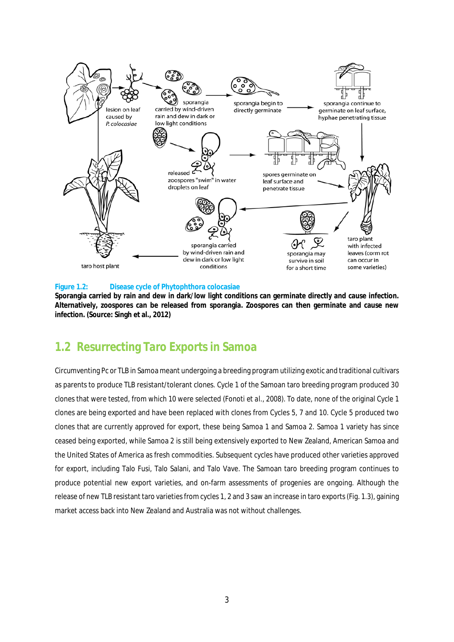

#### **Figure 1.2: Disease cycle of Phytophthora colocasiae**

**Sporangia carried by rain and dew in dark/low light conditions can germinate directly and cause infection. Alternatively, zoospores can be released from sporangia. Zoospores can then germinate and cause new infection. (Source: Singh et al., 2012)**

## **1.2 Resurrecting Taro Exports in Samoa**

Circumventing Pc or TLB in Samoa meant undergoing a breeding program utilizing exotic and traditional cultivars as parents to produce TLB resistant/tolerant clones. Cycle 1 of the Samoan taro breeding program produced 30 clones that were tested, from which 10 were selected (Fonoti *et al.,* 2008). To date, none of the original Cycle 1 clones are being exported and have been replaced with clones from Cycles 5, 7 and 10. Cycle 5 produced two clones that are currently approved for export, these being Samoa 1 and Samoa 2. Samoa 1 variety has since ceased being exported, while Samoa 2 is still being extensively exported to New Zealand, American Samoa and the United States of America as fresh commodities. Subsequent cycles have produced other varieties approved for export, including Talo Fusi, Talo Salani, and Talo Vave. The Samoan taro breeding program continues to produce potential new export varieties, and on-farm assessments of progenies are ongoing. Although the release of new TLB resistant taro varieties from cycles 1, 2 and 3 saw an increase in taro exports (Fig. 1.3), gaining market access back into New Zealand and Australia was not without challenges.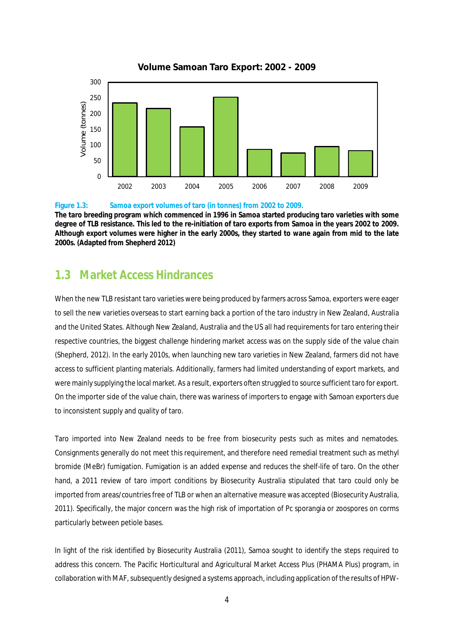

### **Volume Samoan Taro Export: 2002 - 2009**

#### **Figure 1.3: Samoa export volumes of taro (in tonnes) from 2002 to 2009.**

**The taro breeding program which commenced in 1996 in Samoa started producing taro varieties with some degree of TLB resistance. This led to the re-initiation of taro exports from Samoa in the years 2002 to 2009. Although export volumes were higher in the early 2000s, they started to wane again from mid to the late 2000s. (Adapted from Shepherd 2012)**

### **1.3 Market Access Hindrances**

When the new TLB resistant taro varieties were being produced by farmers across Samoa, exporters were eager to sell the new varieties overseas to start earning back a portion of the taro industry in New Zealand, Australia and the United States. Although New Zealand, Australia and the US all had requirements for taro entering their respective countries, the biggest challenge hindering market access was on the supply side of the value chain (Shepherd, 2012). In the early 2010s, when launching new taro varieties in New Zealand, farmers did not have access to sufficient planting materials. Additionally, farmers had limited understanding of export markets, and were mainly supplying the local market. As a result, exporters often struggled to source sufficient taro for export. On the importer side of the value chain, there was wariness of importers to engage with Samoan exporters due to inconsistent supply and quality of taro.

Taro imported into New Zealand needs to be free from biosecurity pests such as mites and nematodes. Consignments generally do not meet this requirement, and therefore need remedial treatment such as methyl bromide (MeBr) fumigation. Fumigation is an added expense and reduces the shelf-life of taro. On the other hand, a 2011 review of taro import conditions by Biosecurity Australia stipulated that taro could only be imported from areas/countries free of TLB or when an alternative measure was accepted (Biosecurity Australia, 2011). Specifically, the major concern was the high risk of importation of Pc sporangia or zoospores on corms particularly between petiole bases.

In light of the risk identified by Biosecurity Australia (2011), Samoa sought to identify the steps required to address this concern. The Pacific Horticultural and Agricultural Market Access Plus (PHAMA Plus) program, in collaboration with MAF, subsequently designed a systems approach, including application of the results of HPW-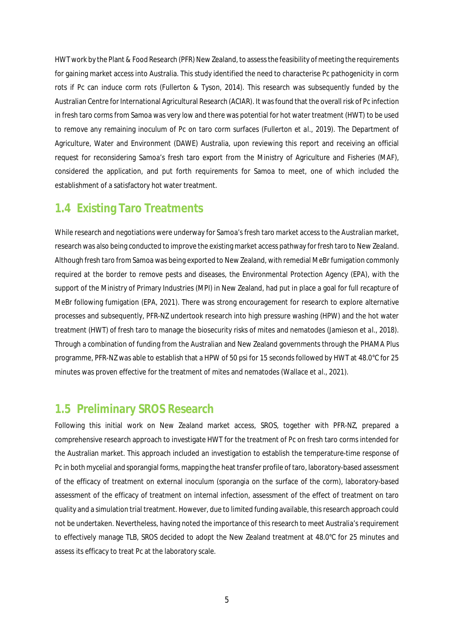HWT work by the Plant & Food Research (PFR) New Zealand, to assess the feasibility of meeting the requirements for gaining market access into Australia. This study identified the need to characterise Pc pathogenicity in corm rots if Pc can induce corm rots (Fullerton & Tyson, 2014). This research was subsequently funded by the Australian Centre for International Agricultural Research (ACIAR). It wasfound that the overall risk of Pc infection in fresh taro corms from Samoa was very low and there was potential for hot water treatment (HWT) to be used to remove any remaining inoculum of Pc on taro corm surfaces (Fullerton *et al.,* 2019). The Department of Agriculture, Water and Environment (DAWE) Australia, upon reviewing this report and receiving an official request for reconsidering Samoa's fresh taro export from the Ministry of Agriculture and Fisheries (MAF), considered the application, and put forth requirements for Samoa to meet, one of which included the establishment of a satisfactory hot water treatment.

## **1.4 Existing Taro Treatments**

While research and negotiations were underway for Samoa's fresh taro market access to the Australian market, research was also being conducted to improve the existing market access pathway for fresh taro to New Zealand. Although fresh taro from Samoa was being exported to New Zealand, with remedial MeBr fumigation commonly required at the border to remove pests and diseases, the Environmental Protection Agency (EPA), with the support of the Ministry of Primary Industries (MPI) in New Zealand, had put in place a goal for full recapture of MeBr following fumigation (EPA, 2021). There was strong encouragement for research to explore alternative processes and subsequently, PFR-NZ undertook research into high pressure washing (HPW) and the hot water treatment (HWT) of fresh taro to manage the biosecurity risks of mites and nematodes (Jamieson *et al.,* 2018). Through a combination of funding from the Australian and New Zealand governments through the PHAMA Plus programme, PFR-NZ was able to establish that a HPW of 50 psi for 15 seconds followed by HWT at 48.0°C for 25 minutes was proven effective for the treatment of mites and nematodes (Wallace *et al.,* 2021).

### **1.5 Preliminary SROS Research**

Following this initial work on New Zealand market access, SROS, together with PFR-NZ, prepared a comprehensive research approach to investigate HWT for the treatment of Pc on fresh taro corms intended for the Australian market. This approach included an investigation to establish the temperature-time response of Pc in both mycelial and sporangial forms, mapping the heat transfer profile of taro, laboratory-based assessment of the efficacy of treatment on external inoculum (sporangia on the surface of the corm), laboratory-based assessment of the efficacy of treatment on internal infection, assessment of the effect of treatment on taro quality and a simulation trial treatment. However, due to limited funding available, this research approach could not be undertaken. Nevertheless, having noted the importance of this research to meet Australia's requirement to effectively manage TLB, SROS decided to adopt the New Zealand treatment at 48.0°C for 25 minutes and assess its efficacy to treat Pc at the laboratory scale.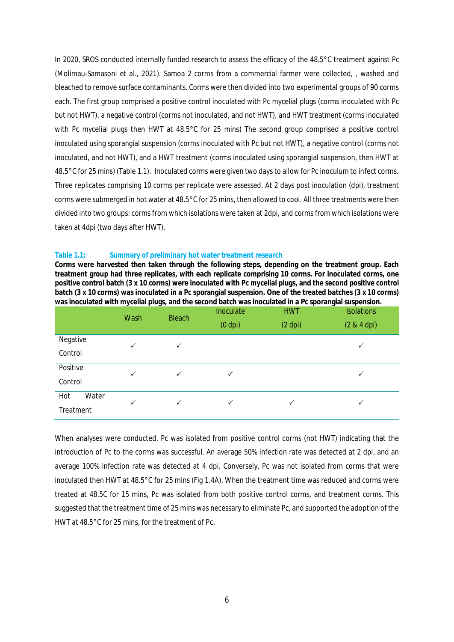In 2020, SROS conducted internally funded research to assess the efficacy of the 48.5°C treatment against Pc (Molimau-Samasoni *et al.*, 2021). Samoa 2 corms from a commercial farmer were collected, , washed and bleached to remove surface contaminants. Corms were then divided into two experimental groups of 90 corms each. The first group comprised a positive control inoculated with Pc mycelial plugs (corms inoculated with Pc but not HWT), a negative control (corms not inoculated, and not HWT), and HWT treatment (corms inoculated with Pc mycelial plugs then HWT at 48.5°C for 25 mins) The second group comprised a positive control inoculated using sporangial suspension (corms inoculated with Pc but not HWT), a negative control (corms not inoculated, and not HWT), and a HWT treatment (corms inoculated using sporangial suspension, then HWT at 48.5°C for 25 mins) (Table 1.1). Inoculated corms were given two days to allow for Pc inoculum to infect corms. Three replicates comprising 10 corms per replicate were assessed. At 2 days post inoculation (dpi), treatment corms were submerged in hot water at 48.5°C for 25 mins, then allowed to cool. All three treatments were then divided into two groups: corms from which isolations were taken at 2dpi, and corms from which isolations were taken at 4dpi (two days after HWT).

#### **Table 1.1: Summary of preliminary hot water treatment research**

**Corms were harvested then taken through the following steps, depending on the treatment group. Each treatment group had three replicates, with each replicate comprising 10 corms. For inoculated corms, one positive control batch (3 x 10 corms) were inoculated with Pc mycelial plugs, and the second positive control batch (3 x 10 corms) was inoculated in a Pc sporangial suspension. One of the treated batches (3 x 10 corms) was inoculated with mycelial plugs, and the second batch was inoculated in a Pc sporangial suspension.**

|              | Wash         | <b>Bleach</b> | Inoculate<br>$(0$ dpi $)$ | <b>HWT</b><br>$(2$ dpi $)$ | <b>Isolations</b><br>$(2 & 4$ dpi $)$ |
|--------------|--------------|---------------|---------------------------|----------------------------|---------------------------------------|
| Negative     | $\checkmark$ | $\checkmark$  |                           |                            | ✓                                     |
| Control      |              |               |                           |                            |                                       |
| Positive     | $\checkmark$ | $\checkmark$  | ✓                         |                            | ✓                                     |
| Control      |              |               |                           |                            |                                       |
| Hot<br>Water | $\checkmark$ | $\checkmark$  | $\checkmark$              | $\checkmark$               | ✓                                     |
| Treatment    |              |               |                           |                            |                                       |

When analyses were conducted, Pc was isolated from positive control corms (not HWT) indicating that the introduction of Pc to the corms was successful. An average 50% infection rate was detected at 2 dpi, and an average 100% infection rate was detected at 4 dpi. Conversely, Pc was not isolated from corms that were inoculated then HWT at 48.5°C for 25 mins (Fig 1.4A). When the treatment time was reduced and corms were treated at 48.5C for 15 mins, Pc was isolated from both positive control corms, and treatment corms. This suggested that the treatment time of 25 mins was necessary to eliminate Pc, and supported the adoption of the HWT at 48.5°C for 25 mins, for the treatment of Pc.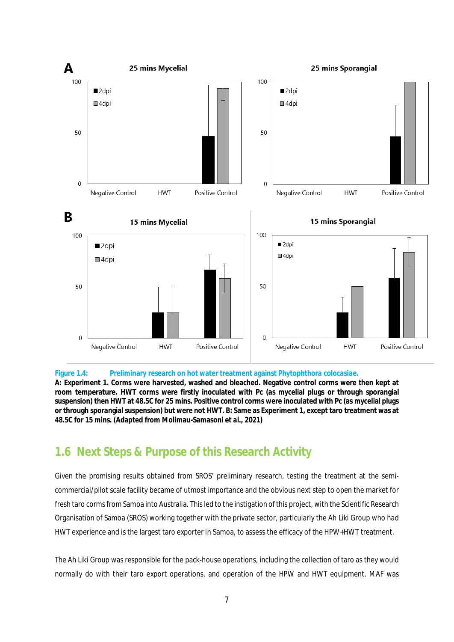

#### **Figure 1.4: Preliminary research on hot water treatment against** *Phytophthora colocasiae***.**

**A: Experiment 1. Corms were harvested, washed and bleached. Negative control corms were then kept at room temperature. HWT corms were firstly inoculated with Pc (as mycelial plugs or through sporangial suspension) then HWT at 48.5C for 25 mins. Positive control corms were inoculated with Pc (as mycelial plugs or through sporangial suspension) but were not HWT. B: Same as Experiment 1, except taro treatment was at 48.5C for 15 mins. (Adapted from Molimau-Samasoni** *et al***., 2021)**

### **1.6 Next Steps & Purpose of this Research Activity**

Given the promising results obtained from SROS' preliminary research, testing the treatment at the semicommercial/pilot scale facility became of utmost importance and the obvious next step to open the market for fresh taro corms from Samoa into Australia. This led to the instigation of this project, with the Scientific Research Organisation of Samoa (SROS) working together with the private sector, particularly the Ah Liki Group who had HWT experience and is the largest taro exporter in Samoa, to assess the efficacy of the HPW+HWT treatment.

The Ah Liki Group was responsible for the pack-house operations, including the collection of taro as they would normally do with their taro export operations, and operation of the HPW and HWT equipment. MAF was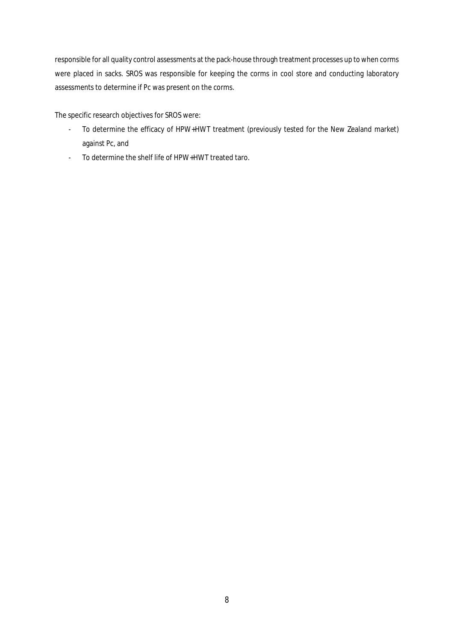responsible for all quality control assessments at the pack-house through treatment processes up to when corms were placed in sacks. SROS was responsible for keeping the corms in cool store and conducting laboratory assessments to determine if Pc was present on the corms.

The specific research objectives for SROS were:

- To determine the efficacy of HPW+HWT treatment (previously tested for the New Zealand market) against Pc, and
- To determine the shelf life of HPW+HWT treated taro.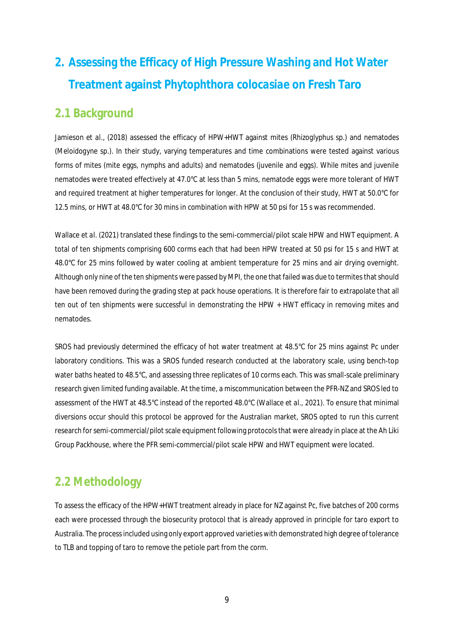# **2. Assessing the Efficacy of High Pressure Washing and Hot Water Treatment against** *Phytophthora colocasiae* **on Fresh Taro**

## **2.1 Background**

Jamieson *et al.,* (2018) assessed the efficacy of HPW+HWT against mites (*Rhizoglyphus* sp.) and nematodes (*Meloidogyne* sp.). In their study, varying temperatures and time combinations were tested against various forms of mites (mite eggs, nymphs and adults) and nematodes (juvenile and eggs). While mites and juvenile nematodes were treated effectively at 47.0°C at less than 5 mins, nematode eggs were more tolerant of HWT and required treatment at higher temperatures for longer. At the conclusion of their study, HWT at 50.0°C for 12.5 mins, or HWT at 48.0°C for 30 mins in combination with HPW at 50 psi for 15 s was recommended.

Wallace *et al.* (2021) translated these findings to the semi-commercial/pilot scale HPW and HWT equipment. A total of ten shipments comprising 600 corms each that had been HPW treated at 50 psi for 15 s and HWT at 48.0°C for 25 mins followed by water cooling at ambient temperature for 25 mins and air drying overnight. Although only nine of the ten shipments were passed by MPI, the one that failed was due to termites that should have been removed during the grading step at pack house operations. It is therefore fair to extrapolate that all ten out of ten shipments were successful in demonstrating the HPW + HWT efficacy in removing mites and nematodes.

SROS had previously determined the efficacy of hot water treatment at 48.5°C for 25 mins against Pc under laboratory conditions. This was a SROS funded research conducted at the laboratory scale, using bench-top water baths heated to 48.5°C, and assessing three replicates of 10 corms each. This was small-scale preliminary research given limited funding available. At the time, a miscommunication between the PFR-NZ and SROS led to assessment of the HWT at 48.5°C instead of the reported 48.0°C (Wallace *et al.,* 2021). To ensure that minimal diversions occur should this protocol be approved for the Australian market, SROS opted to run this current research for semi-commercial/pilot scale equipment following protocols that were already in place at the Ah Liki Group Packhouse, where the PFR semi-commercial/pilot scale HPW and HWT equipment were located.

# **2.2 Methodology**

To assess the efficacy of the HPW+HWT treatment already in place for NZ against Pc, five batches of 200 corms each were processed through the biosecurity protocol that is already approved in principle for taro export to Australia. The processincluded using only export approved varieties with demonstrated high degree of tolerance to TLB and topping of taro to remove the petiole part from the corm.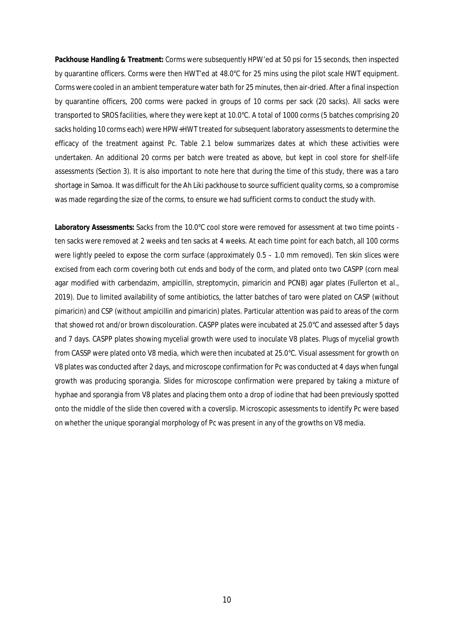**Packhouse Handling & Treatment:** Corms were subsequently HPW'ed at 50 psi for 15 seconds, then inspected by quarantine officers. Corms were then HWT'ed at 48.0°C for 25 mins using the pilot scale HWT equipment. Corms were cooled in an ambient temperature water bath for 25 minutes, then air-dried. After a final inspection by quarantine officers, 200 corms were packed in groups of 10 corms per sack (20 sacks). All sacks were transported to SROS facilities, where they were kept at 10.0°C. A total of 1000 corms (5 batches comprising 20 sacks holding 10 corms each) were HPW+HWT treated for subsequent laboratory assessments to determine the efficacy of the treatment against Pc. Table 2.1 below summarizes dates at which these activities were undertaken. An additional 20 corms per batch were treated as above, but kept in cool store for shelf-life assessments (Section 3). It is also important to note here that during the time of this study, there was a taro shortage in Samoa. It was difficult for the Ah Liki packhouse to source sufficient quality corms, so a compromise was made regarding the size of the corms, to ensure we had sufficient corms to conduct the study with.

**Laboratory Assessments:** Sacks from the 10.0°C cool store were removed for assessment at two time points ten sacks were removed at 2 weeks and ten sacks at 4 weeks. At each time point for each batch, all 100 corms were lightly peeled to expose the corm surface (approximately  $0.5 - 1.0$  mm removed). Ten skin slices were excised from each corm covering both cut ends and body of the corm, and plated onto two CASPP (corn meal agar modified with carbendazim, ampicillin, streptomycin, pimaricin and PCNB) agar plates (Fullerton *et al.,* 2019). Due to limited availability of some antibiotics, the latter batches of taro were plated on CASP (without pimaricin) and CSP (without ampicillin and pimaricin) plates. Particular attention was paid to areas of the corm that showed rot and/or brown discolouration. CASPP plates were incubated at 25.0°C and assessed after 5 days and 7 days. CASPP plates showing mycelial growth were used to inoculate V8 plates. Plugs of mycelial growth from CASSP were plated onto V8 media, which were then incubated at 25.0°C. Visual assessment for growth on V8 plates was conducted after 2 days, and microscope confirmation for Pc was conducted at 4 days when fungal growth was producing sporangia. Slides for microscope confirmation were prepared by taking a mixture of hyphae and sporangia from V8 plates and placing them onto a drop of iodine that had been previously spotted onto the middle of the slide then covered with a coverslip. Microscopic assessments to identify Pc were based on whether the unique sporangial morphology of Pc was present in any of the growths on V8 media.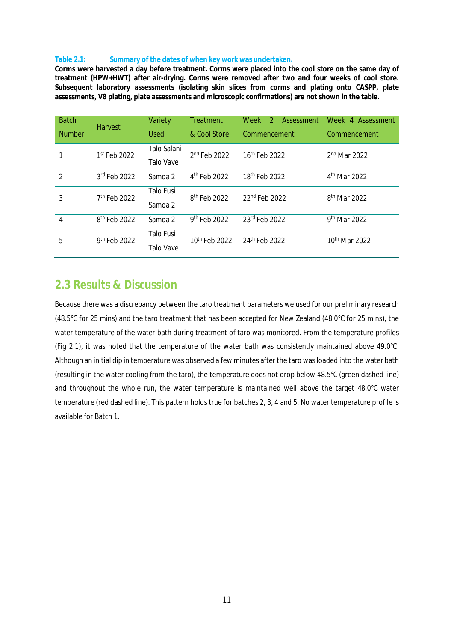#### **Table 2.1: Summary of the dates of when key work was undertaken.**

**Corms were harvested a day before treatment. Corms were placed into the cool store on the same day of treatment (HPW+HWT) after air-drying. Corms were removed after two and four weeks of cool store. Subsequent laboratory assessments (isolating skin slices from corms and plating onto CASPP, plate assessments, V8 plating, plate assessments and microscopic confirmations) are not shown in the table.**

| <b>Batch</b>   |                          | Variety          | Treatment                 | Week<br>$\mathcal{P}$<br><b>Assessment</b> | Week 4 Assessment         |
|----------------|--------------------------|------------------|---------------------------|--------------------------------------------|---------------------------|
| <b>Number</b>  | <b>Harvest</b>           | <b>Used</b>      | & Cool Store              | Commencement                               | Commencement              |
|                | 1st Feb 2022             | Talo Salani      | $2nd$ Feb 2022            | 16 <sup>th</sup> Feb 2022                  | $2nd$ Mar 2022            |
|                |                          | Talo Vave        |                           |                                            |                           |
| $\mathcal{P}$  | 3rd Feb 2022             | Samoa 2          | 4 <sup>th</sup> Feb 2022  | 18 <sup>th</sup> Feb 2022                  | 4 <sup>th</sup> Mar 2022  |
| 3              | 7 <sup>th</sup> Feb 2022 | Talo Fusi        | 8 <sup>th</sup> Feb 2022  | 22nd Feb 2022                              | 8 <sup>th</sup> Mar 2022  |
|                |                          | Samoa 2          |                           |                                            |                           |
| $\overline{4}$ | 8 <sup>th</sup> Feb 2022 | Samoa 2          | 9 <sup>th</sup> Feb 2022  | 23rd Feb 2022                              | 9 <sup>th</sup> Mar 2022  |
| 5              | 9 <sup>th</sup> Feb 2022 | Talo Fusi        | 10 <sup>th</sup> Feb 2022 | 24th Feb 2022                              | 10 <sup>th</sup> Mar 2022 |
|                |                          | <b>Talo Vave</b> |                           |                                            |                           |

### **2.3 Results & Discussion**

Because there was a discrepancy between the taro treatment parameters we used for our preliminary research (48.5°C for 25 mins) and the taro treatment that has been accepted for New Zealand (48.0°C for 25 mins), the water temperature of the water bath during treatment of taro was monitored. From the temperature profiles (Fig 2.1), it was noted that the temperature of the water bath was consistently maintained above 49.0°C. Although an initial dip in temperature was observed a few minutes after the taro was loaded into the water bath (resulting in the water cooling from the taro), the temperature does not drop below 48.5°C (green dashed line) and throughout the whole run, the water temperature is maintained well above the target 48.0°C water temperature (red dashed line). This pattern holds true for batches 2, 3, 4 and 5. No water temperature profile is available for Batch 1.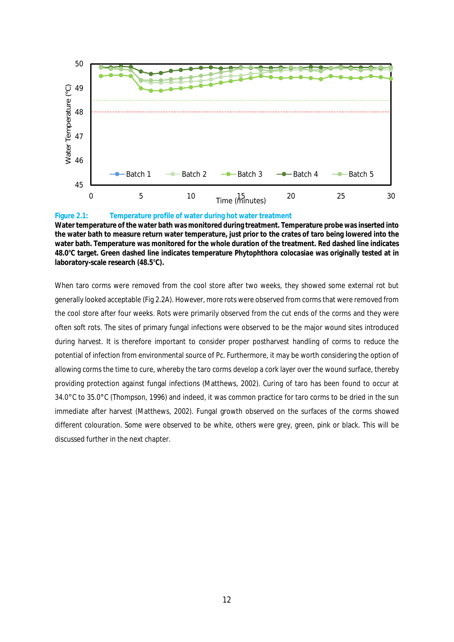

#### **Figure 2.1: Temperature profile of water during hot water treatment**

**Water temperature of the water bath was monitored during treatment. Temperature probe was inserted into the water bath to measure return water temperature, just prior to the crates of taro being lowered into the water bath. Temperature was monitored for the whole duration of the treatment. Red dashed line indicates 48.0°C target. Green dashed line indicates temperature** *Phytophthora colocasiae* **was originally tested at in laboratory-scale research (48.5°C).**

When taro corms were removed from the cool store after two weeks, they showed some external rot but generally looked acceptable (Fig 2.2A). However, more rots were observed from corms that were removed from the cool store after four weeks. Rots were primarily observed from the cut ends of the corms and they were often soft rots. The sites of primary fungal infections were observed to be the major wound sites introduced during harvest. It is therefore important to consider proper postharvest handling of corms to reduce the potential of infection from environmental source of Pc. Furthermore, it may be worth considering the option of allowing corms the time to cure, whereby the taro corms develop a cork layer over the wound surface, thereby providing protection against fungal infections (Matthews, 2002). Curing of taro has been found to occur at 34.0°C to 35.0°C (Thompson, 1996) and indeed, it was common practice for taro corms to be dried in the sun immediate after harvest (Matthews, 2002). Fungal growth observed on the surfaces of the corms showed different colouration. Some were observed to be white, others were grey, green, pink or black. This will be discussed further in the next chapter.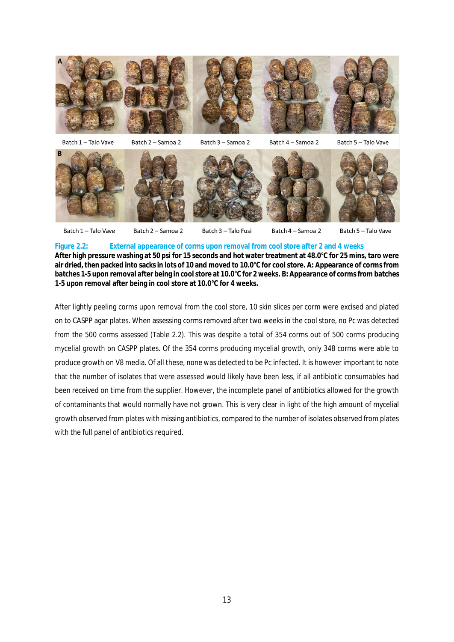

Batch 4 - Samoa 2 Batch 1 - Talo Vave Batch 2 - Samoa 2 Batch 3 - Talo Fusi Batch 5 - Talo Vave

**Figure 2.2: External appearance of corms upon removal from cool store after 2 and 4 weeks After high pressure washing at 50 psi for 15 seconds and hot water treatment at 48.0°C for 25 mins, taro were air dried, then packed into sacks in lots of 10 and moved to 10.0°C for cool store. A: Appearance of corms from batches 1-5 upon removal after being in cool store at 10.0°C for 2 weeks. B: Appearance of corms from batches 1-5 upon removal after being in cool store at 10.0°C for 4 weeks.**

After lightly peeling corms upon removal from the cool store, 10 skin slices per corm were excised and plated on to CASPP agar plates. When assessing corms removed after two weeks in the cool store, no Pc was detected from the 500 corms assessed (Table 2.2). This was despite a total of 354 corms out of 500 corms producing mycelial growth on CASPP plates. Of the 354 corms producing mycelial growth, only 348 corms were able to produce growth on V8 media. Of all these, none was detected to be Pc infected. It is however important to note that the number of isolates that were assessed would likely have been less, if all antibiotic consumables had been received on time from the supplier. However, the incomplete panel of antibiotics allowed for the growth of contaminants that would normally have not grown. This is very clear in light of the high amount of mycelial growth observed from plates with missing antibiotics, compared to the number of isolates observed from plates with the full panel of antibiotics required.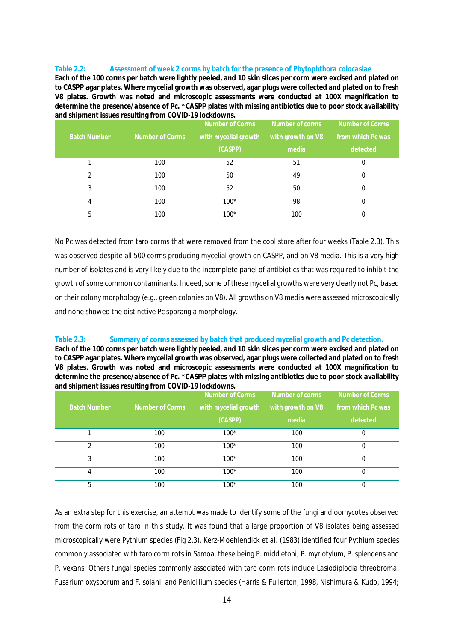#### **Table 2.2: Assessment of week 2 corms by batch for the presence of** *Phytophthora colocasiae*

**Each of the 100 corms per batch were lightly peeled, and 10 skin slices per corm were excised and plated on to CASPP agar plates. Where mycelial growth was observed, agar plugs were collected and plated on to fresh V8 plates. Growth was noted and microscopic assessments were conducted at 100X magnification to determine the presence/absence of Pc. \*CASPP plates with missing antibiotics due to poor stock availability and shipment issues resulting from COVID-19 lockdowns.**

|                     | ັ               | Number of Corms      | Number of corms   | <b>Number of Corms</b> |
|---------------------|-----------------|----------------------|-------------------|------------------------|
| <b>Batch Number</b> | Number of Corms | with mycelial growth | with growth on V8 | from which Pc was,     |
|                     |                 | (CASPP)              | media             | detected               |
|                     | 100             | 52                   | 51                |                        |
| $\mathfrak{D}$      | 100             | 50                   | 49                |                        |
| 3                   | 100             | 52                   | 50                |                        |
| 4                   | 100             | $100*$               | 98                |                        |
| 5                   | 100             | $100*$               | 100               |                        |

No Pc was detected from taro corms that were removed from the cool store after four weeks (Table 2.3). This was observed despite all 500 corms producing mycelial growth on CASPP, and on V8 media. This is a very high number of isolates and is very likely due to the incomplete panel of antibiotics that was required to inhibit the growth of some common contaminants. Indeed, some of these mycelial growths were very clearly not Pc, based on their colony morphology (e.g., green colonies on V8). All growths on V8 media were assessed microscopically and none showed the distinctive Pc sporangia morphology.

### **Table 2.3: Summary of corms assessed by batch that produced mycelial growth and Pc detection.**

**Each of the 100 corms per batch were lightly peeled, and 10 skin slices per corm were excised and plated on to CASPP agar plates. Where mycelial growth was observed, agar plugs were collected and plated on to fresh V8 plates. Growth was noted and microscopic assessments were conducted at 100X magnification to determine the presence/absence of Pc. \*CASPP plates with missing antibiotics due to poor stock availability and shipment issues resulting from COVID-19 lockdowns.**

|                     |                 | Number of Corms      | Number of corms   | Number of Corms   |
|---------------------|-----------------|----------------------|-------------------|-------------------|
| <b>Batch Number</b> | Number of Corms | with mycelial growth | with growth on V8 | from which Pc was |
|                     |                 | (CASPP)              | media             | detected          |
|                     | 100             | $100*$               | 100               | 0                 |
| $\mathfrak{D}$      | 100             | $100*$               | 100               | 0                 |
| 3                   | 100             | $100*$               | 100               |                   |
| 4                   | 100             | $100*$               | 100               | 0                 |
| 5                   | 100             | $100*$               | 100               | 0                 |

As an extra step for this exercise, an attempt was made to identify some of the fungi and oomycotes observed from the corm rots of taro in this study. It was found that a large proportion of V8 isolates being assessed microscopically were *Pythium* species (Fig 2.3). Kerz-Moehlendick *et al.* (1983) identified four *Pythium* species commonly associated with taro corm rots in Samoa, these being *P. middletoni*, *P. myriotylum*, *P. splendens* and *P. vexans.* Others fungal species commonly associated with taro corm rots include *Lasiodiplodia threobroma*, *Fusarium oxysporum* and *F. solani*, and *Penicillium* species (Harris & Fullerton, 1998, Nishimura & Kudo, 1994;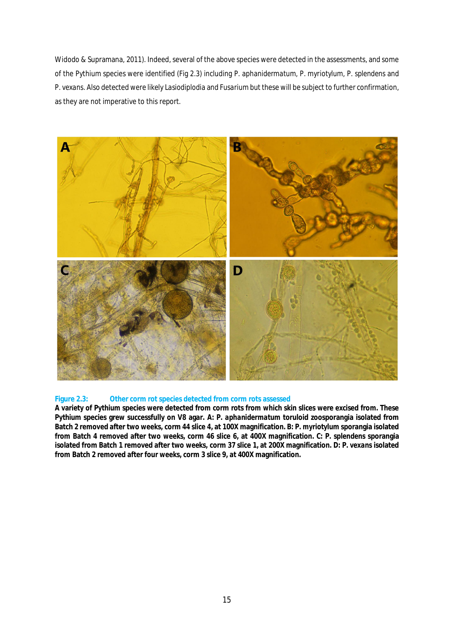Widodo & Supramana, 2011). Indeed, several of the above species were detected in the assessments, and some of the *Pythium* species were identified (Fig 2.3) including *P. aphanidermatum*, *P. myriotylum*, *P. splendens* and *P. vexans*. Also detected were likely *Lasiodiplodia* and *Fusarium* but these will be subject to further confirmation, as they are not imperative to this report.



### **Figure 2.3: Other corm rot species detected from corm rots assessed**

**A variety of** *Pythium* **species were detected from corm rots from which skin slices were excised from. These** *Pythium* **species grew successfully on V8 agar. A:** *P. aphanidermatum* **toruloid zoosporangia isolated from Batch 2 removed after two weeks, corm 44 slice 4, at 100X magnification. B:** *P. myriotylum* **sporangia isolated from Batch 4 removed after two weeks, corm 46 slice 6, at 400X magnification. C:** *P. splendens* **sporangia isolated from Batch 1 removed after two weeks, corm 37 slice 1, at 200X magnification. D:** *P. vexans* **isolated from Batch 2 removed after four weeks, corm 3 slice 9, at 400X magnification.**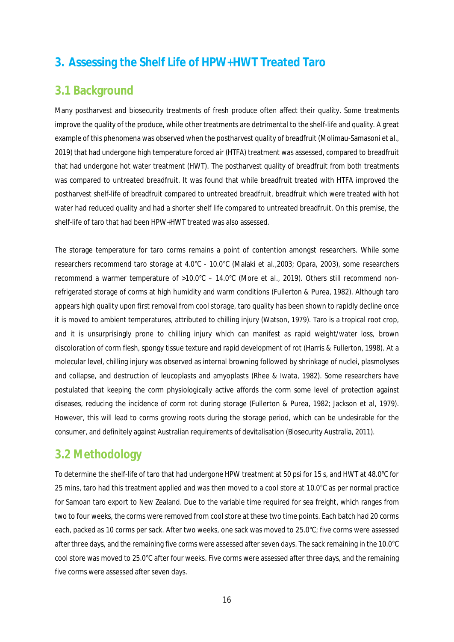## **3. Assessing the Shelf Life of HPW+HWT Treated Taro**

## **3.1 Background**

Many postharvest and biosecurity treatments of fresh produce often affect their quality. Some treatments improve the quality of the produce, while other treatments are detrimental to the shelf-life and quality. A great example of this phenomena was observed when the postharvest quality of breadfruit (Molimau-Samasoni *et al.,* 2019) that had undergone high temperature forced air (HTFA) treatment was assessed, compared to breadfruit that had undergone hot water treatment (HWT). The postharvest quality of breadfruit from both treatments was compared to untreated breadfruit. It was found that while breadfruit treated with HTFA improved the postharvest shelf-life of breadfruit compared to untreated breadfruit, breadfruit which were treated with hot water had reduced quality and had a shorter shelf life compared to untreated breadfruit. On this premise, the shelf-life of taro that had been HPW+HWT treated was also assessed.

The storage temperature for taro corms remains a point of contention amongst researchers. While some researchers recommend taro storage at 4.0°C - 10.0°C (Malaki *et al.*,2003; Opara, 2003), some researchers recommend a warmer temperature of >10.0°C – 14.0°C (More *et al.*, 2019). Others still recommend nonrefrigerated storage of corms at high humidity and warm conditions (Fullerton & Purea, 1982). Although taro appears high quality upon first removal from cool storage, taro quality has been shown to rapidly decline once it is moved to ambient temperatures, attributed to chilling injury (Watson, 1979). Taro is a tropical root crop, and it is unsurprisingly prone to chilling injury which can manifest as rapid weight/water loss, brown discoloration of corm flesh, spongy tissue texture and rapid development of rot (Harris & Fullerton, 1998). At a molecular level, chilling injury was observed as internal browning followed by shrinkage of nuclei, plasmolyses and collapse, and destruction of leucoplasts and amyoplasts (Rhee & Iwata, 1982). Some researchers have postulated that keeping the corm physiologically active affords the corm some level of protection against diseases, reducing the incidence of corm rot during storage (Fullerton & Purea, 1982; Jackson *et al*, 1979). However, this will lead to corms growing roots during the storage period, which can be undesirable for the consumer, and definitely against Australian requirements of devitalisation (Biosecurity Australia, 2011).

### **3.2 Methodology**

To determine the shelf-life of taro that had undergone HPW treatment at 50 psi for 15 s, and HWT at 48.0°C for 25 mins, taro had this treatment applied and was then moved to a cool store at 10.0°C as per normal practice for Samoan taro export to New Zealand. Due to the variable time required for sea freight, which ranges from two to four weeks, the corms were removed from cool store at these two time points. Each batch had 20 corms each, packed as 10 corms per sack. After two weeks, one sack was moved to 25.0°C; five corms were assessed after three days, and the remaining five corms were assessed after seven days. The sack remaining in the 10.0°C cool store was moved to 25.0°C after four weeks. Five corms were assessed after three days, and the remaining five corms were assessed after seven days.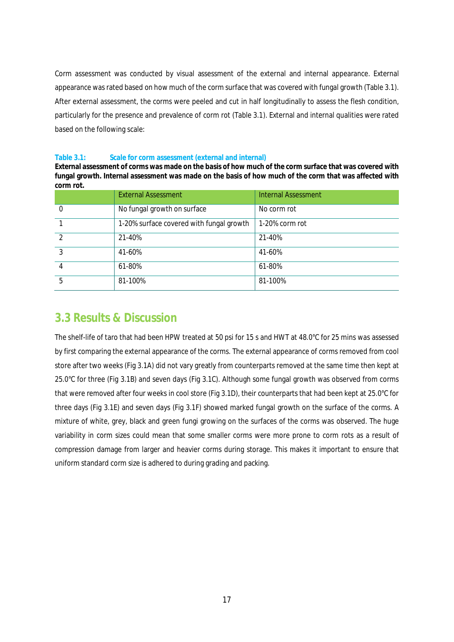Corm assessment was conducted by visual assessment of the external and internal appearance. External appearance was rated based on how much of the corm surface that was covered with fungal growth (Table 3.1). After external assessment, the corms were peeled and cut in half longitudinally to assess the flesh condition, particularly for the presence and prevalence of corm rot (Table 3.1). External and internal qualities were rated based on the following scale:

### **Table 3.1: Scale for corm assessment (external and internal)**

**External assessment of corms was made on the basis of how much of the corm surface that was covered with fungal growth. Internal assessment was made on the basis of how much of the corm that was affected with corm rot.**

|               | <b>External Assessment</b>               | <b>Internal Assessment</b> |
|---------------|------------------------------------------|----------------------------|
|               | No fungal growth on surface              | No corm rot                |
|               | 1-20% surface covered with fungal growth | 1-20% corm rot             |
| $\mathcal{P}$ | 21-40%                                   | 21-40%                     |
| $\mathbf{3}$  | 41-60%                                   | 41-60%                     |
| 4             | 61-80%                                   | 61-80%                     |
| 5             | 81-100%                                  | 81-100%                    |

### **3.3 Results & Discussion**

The shelf-life of taro that had been HPW treated at 50 psi for 15 s and HWT at 48.0°C for 25 mins was assessed by first comparing the external appearance of the corms. The external appearance of corms removed from cool store after two weeks (Fig 3.1A) did not vary greatly from counterparts removed at the same time then kept at 25.0°C for three (Fig 3.1B) and seven days (Fig 3.1C). Although some fungal growth was observed from corms that were removed after four weeks in cool store (Fig 3.1D), their counterparts that had been kept at 25.0°C for three days (Fig 3.1E) and seven days (Fig 3.1F) showed marked fungal growth on the surface of the corms. A mixture of white, grey, black and green fungi growing on the surfaces of the corms was observed. The huge variability in corm sizes could mean that some smaller corms were more prone to corm rots as a result of compression damage from larger and heavier corms during storage. This makes it important to ensure that uniform standard corm size is adhered to during grading and packing.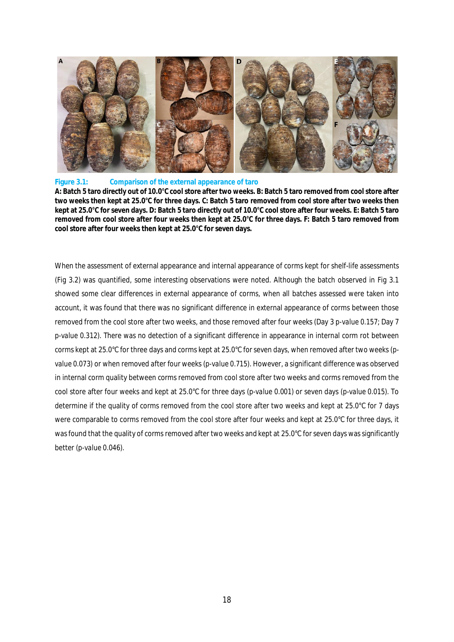

#### **Figure 3.1: Comparison of the external appearance of taro**

**A: Batch 5 taro directly out of 10.0°C cool store after two weeks. B: Batch 5 taro removed from cool store after two weeks then kept at 25.0°C for three days. C: Batch 5 taro removed from cool store after two weeks then kept at 25.0°C for seven days. D: Batch 5 taro directly out of 10.0°C cool store after four weeks. E: Batch 5 taro removed from cool store after four weeks then kept at 25.0°C for three days. F: Batch 5 taro removed from cool store after four weeks then kept at 25.0°C for seven days.**

When the assessment of external appearance and internal appearance of corms kept for shelf-life assessments (Fig 3.2) was quantified, some interesting observations were noted. Although the batch observed in Fig 3.1 showed some clear differences in external appearance of corms, when all batches assessed were taken into account, it was found that there was no significant difference in external appearance of corms between those removed from the cool store after two weeks, and those removed after four weeks (Day 3 *p-value 0.157*; Day 7 *p-value 0.312*). There was no detection of a significant difference in appearance in internal corm rot between corms kept at 25.0°C for three days and corms kept at 25.0°C for seven days, when removed after two weeks (*pvalue 0.073*) or when removed after four weeks (*p-value 0.715*). However, a significant difference was observed in internal corm quality between corms removed from cool store after two weeks and corms removed from the cool store after four weeks and kept at 25.0°C for three days (*p-value 0.001*) or seven days (*p-value 0.015*). To determine if the quality of corms removed from the cool store after two weeks and kept at 25.0°C for 7 days were comparable to corms removed from the cool store after four weeks and kept at 25.0°C for three days, it wasfound that the quality of corms removed after two weeks and kept at 25.0°C for seven days was significantly better (*p-value 0.046*).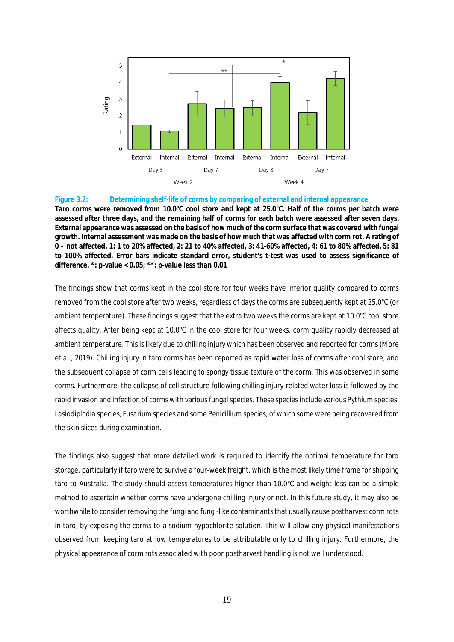

### **Figure 3.2: Determining shelf-life of corms by comparing of external and internal appearance Taro corms were removed from 10.0°C cool store and kept at 25.0°C. Half of the corms per batch were assessed after three days, and the remaining half of corms for each batch were assessed after seven days. External appearance was assessed on the basis of how much of the corm surface that was covered with fungal growth. Internal assessment was made on the basis of how much that was affected with corm rot. A rating of 0 – not affected, 1: 1 to 20% affected, 2: 21 to 40% affected, 3: 41-60% affected, 4: 61 to 80% affected, 5: 81 to 100% affected. Error bars indicate standard error, student's t-test was used to assess significance of difference. \*: p-value < 0.05; \*\*: p-value less than 0.01**

The findings show that corms kept in the cool store for four weeks have inferior quality compared to corms removed from the cool store after two weeks, regardless of days the corms are subsequently kept at 25.0°C (or ambient temperature). These findings suggest that the extra two weeks the corms are kept at 10.0°C cool store affects quality. After being kept at 10.0°C in the cool store for four weeks, corm quality rapidly decreased at ambient temperature. This is likely due to chilling injury which has been observed and reported for corms (More *et al.*, 2019). Chilling injury in taro corms has been reported as rapid water loss of corms after cool store, and the subsequent collapse of corm cells leading to spongy tissue texture of the corm. This was observed in some corms. Furthermore, the collapse of cell structure following chilling injury-related water loss is followed by the rapid invasion and infection of corms with various fungal species. These species include various *Pythium* species, *Lasiodiplodia* species, *Fusarium* species and some *Penicillium* species, of which some were being recovered from the skin slices during examination.

The findings also suggest that more detailed work is required to identify the optimal temperature for taro storage, particularly if taro were to survive a four-week freight, which is the most likely time frame for shipping taro to Australia. The study should assess temperatures higher than 10.0°C and weight loss can be a simple method to ascertain whether corms have undergone chilling injury or not. In this future study, it may also be worthwhile to consider removing the fungi and fungi-like contaminants that usually cause postharvest corm rots in taro, by exposing the corms to a sodium hypochlorite solution. This will allow any physical manifestations observed from keeping taro at low temperatures to be attributable only to chilling injury. Furthermore, the physical appearance of corm rots associated with poor postharvest handling is not well understood.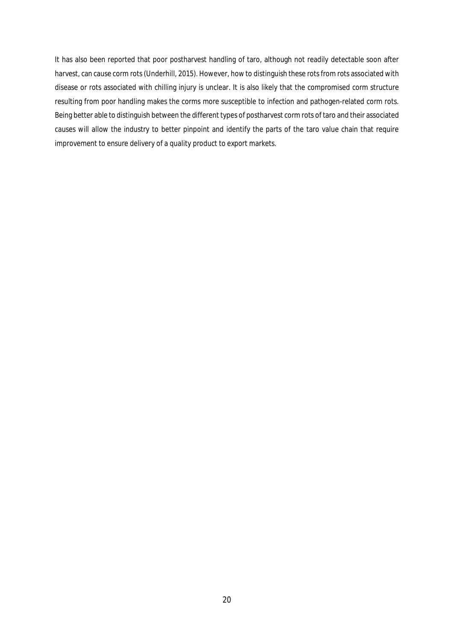It has also been reported that poor postharvest handling of taro, although not readily detectable soon after harvest, can cause corm rots (Underhill, 2015). However, how to distinguish these rots from rots associated with disease or rots associated with chilling injury is unclear. It is also likely that the compromised corm structure resulting from poor handling makes the corms more susceptible to infection and pathogen-related corm rots. Being better able to distinguish between the different types of postharvest corm rots of taro and their associated causes will allow the industry to better pinpoint and identify the parts of the taro value chain that require improvement to ensure delivery of a quality product to export markets.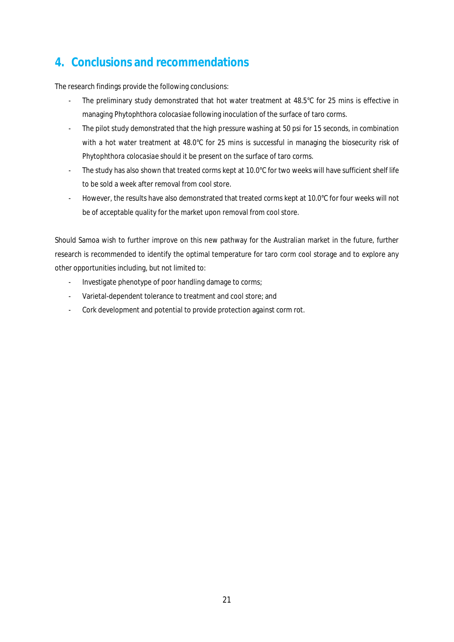# **4. Conclusions and recommendations**

The research findings provide the following conclusions:

- The preliminary study demonstrated that hot water treatment at 48.5°C for 25 mins is effective in managing *Phytophthora colocasiae* following inoculation of the surface of taro corms.
- The pilot study demonstrated that the high pressure washing at 50 psi for 15 seconds, in combination with a hot water treatment at 48.0°C for 25 mins is successful in managing the biosecurity risk of *Phytophthora colocasiae* should it be present on the surface of taro corms.
- The study has also shown that treated corms kept at 10.0°C for two weeks will have sufficient shelf life to be sold a week after removal from cool store.
- However, the results have also demonstrated that treated corms kept at 10.0°C for four weeks will not be of acceptable quality for the market upon removal from cool store.

Should Samoa wish to further improve on this new pathway for the Australian market in the future, further research is recommended to identify the optimal temperature for taro corm cool storage and to explore any other opportunities including, but not limited to:

- Investigate phenotype of poor handling damage to corms;
- Varietal-dependent tolerance to treatment and cool store; and
- Cork development and potential to provide protection against corm rot.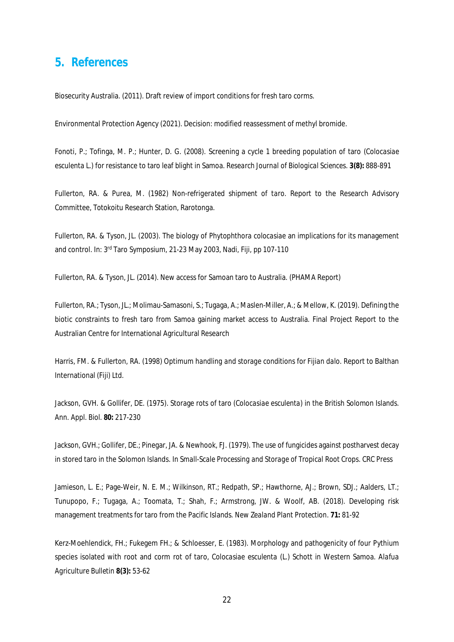### **5. References**

Biosecurity Australia. (2011). Draft review of import conditions for fresh taro corms.

Environmental Protection Agency (2021). Decision: modified reassessment of methyl bromide.

Fonoti, P.; Tofinga, M. P.; Hunter, D. G. (2008). Screening a cycle 1 breeding population of taro (*Colocasiae esculenta* L.) for resistance to taro leaf blight in Samoa. *Research Journal of Biological Sciences.* **3(8):** 888-891

Fullerton, RA. & Purea, M. (1982) *Non-refrigerated shipment of taro*. Report to the Research Advisory Committee, Totokoitu Research Station, Rarotonga.

Fullerton, RA. & Tyson, JL. (2003). The biology of *Phytophthora colocasiae* an implications for its management and control. In: 3rd Taro Symposium, 21-23 May 2003, Nadi, Fiji, pp 107-110

Fullerton, RA. & Tyson, JL. (2014). New access for Samoan taro to Australia. (PHAMA Report)

Fullerton, RA.; Tyson, JL.; Molimau-Samasoni, S.; Tugaga, A.; Maslen-Miller, A.; & Mellow, K. (2019). Defining the biotic constraints to fresh taro from Samoa gaining market access to Australia. Final Project Report to the Australian Centre for International Agricultural Research

Harris, FM. & Fullerton, RA. (1998) *Optimum handling and storage conditions for Fijian dalo*. Report to Balthan International (Fiji) Ltd.

Jackson, GVH. & Gollifer, DE. (1975). Storage rots of taro (*Colocasiae esculenta*) in the British Solomon Islands. *Ann. Appl. Biol.* **80:** 217-230

Jackson, GVH.; Gollifer, DE.; Pinegar, JA. & Newhook, FJ. (1979). The use of fungicides against postharvest decay in stored taro in the Solomon Islands. In *Small-Scale Processing and Storage of Tropical Root Crops*. CRC Press

Jamieson, L. E.; Page-Weir, N. E. M.; Wilkinson, RT.; Redpath, SP.; Hawthorne, AJ.; Brown, SDJ.; Aalders, LT.; Tunupopo, F.; Tugaga, A.; Toomata, T.; Shah, F.; Armstrong, JW. & Woolf, AB. (2018). Developing risk management treatments for taro from the Pacific Islands. *New Zealand Plant Protection*. **71:** 81-92

Kerz-Moehlendick, FH.; Fukegem FH.; & Schloesser, E. (1983). Morphology and pathogenicity of four *Pythium* species isolated with root and corm rot of taro, *Colocasiae esculenta* (L.) Schott in Western Samoa. *Alafua Agriculture Bulletin* **8(3):** 53-62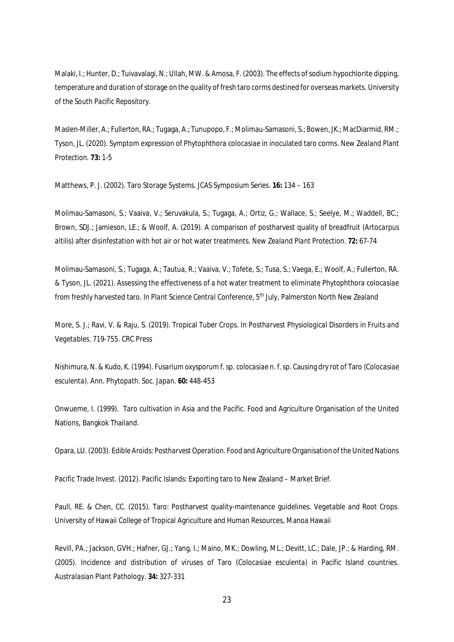Malaki, I.; Hunter, D.; Tuivavalagi, N.; Ullah, MW. & Amosa, F. (2003). The effects of sodium hypochlorite dipping, temperature and duration of storage on the quality of fresh taro corms destined for overseas markets. *University of the South Pacific Repository*.

Maslen-Miller, A.; Fullerton, RA.; Tugaga, A.; Tunupopo, F.; Molimau-Samasoni, S.; Bowen, JK.; MacDiarmid, RM.; Tyson, JL. (2020). Symptom expression of *Phytophthora colocasiae* in inoculated taro corms. *New Zealand Plant Protection*. **73:** 1-5

Matthews, P. J. (2002). Taro Storage Systems. *JCAS Symposium Series*. **16:** 134 – 163

Molimau-Samasoni, S.; Vaaiva, V.; Seruvakula, S.; Tugaga, A.; Ortiz, G.; Wallace, S.; Seelye, M.; Waddell, BC.; Brown, SDJ.; Jamieson, LE.; & Woolf, A. (2019). A comparison of postharvest quality of breadfruit (*Artocarpus altilis*) after disinfestation with hot air or hot water treatments. *New Zealand Plant Protection*. **72:** 67-74

Molimau-Samasoni, S.; Tugaga, A.; Tautua, R.; Vaaiva, V.; Tofete, S.; Tusa, S.; Vaega, E.; Woolf, A.; Fullerton, RA. & Tyson, JL. (2021). Assessing the effectiveness of a hot water treatment to eliminate *Phytophthora colocasiae* from freshly harvested taro. In *Plant Science Central Conference*, 5th July, Palmerston North New Zealand

More, S. J.; Ravi, V. & Raju, S. (2019). Tropical Tuber Crops. In *Postharvest Physiological Disorders in Fruits and Vegetables*. 719-755. CRC Press

Nishimura, N. & Kudo, K. (1994). *Fusarium oxysporum* f. sp. *colocasiae* n. f. sp. Causing dry rot of Taro (*Colocasiae esculenta*). *Ann. Phytopath. Soc. Japan.* **60:** 448-453

Onwueme, I. (1999). *Taro cultivation in Asia and the Pacific*. Food and Agriculture Organisation of the United Nations, Bangkok Thailand.

Opara, LU. (2003). *Edible Aroids: Postharvest Operation*. Food and Agriculture Organisation of the United Nations

Pacific Trade Invest. (2012). Pacific Islands: Exporting taro to New Zealand – Market Brief.

Paull, RE. & Chen, CC. (2015). Taro: Postharvest quality-maintenance guidelines. *Vegetable and Root Crops*. University of Hawaii College of Tropical Agriculture and Human Resources, Manoa Hawaii

Revill, PA.; Jackson, GVH.; Hafner, GJ.; Yang, I.; Maino, MK.; Dowling, ML.; Devitt, LC.; Dale, JP.; & Harding, RM. (2005). Incidence and distribution of viruses of Taro (*Colocasiae esculenta*) in Pacific Island countries. *Australasian Plant Pathology*. **34:** 327-331